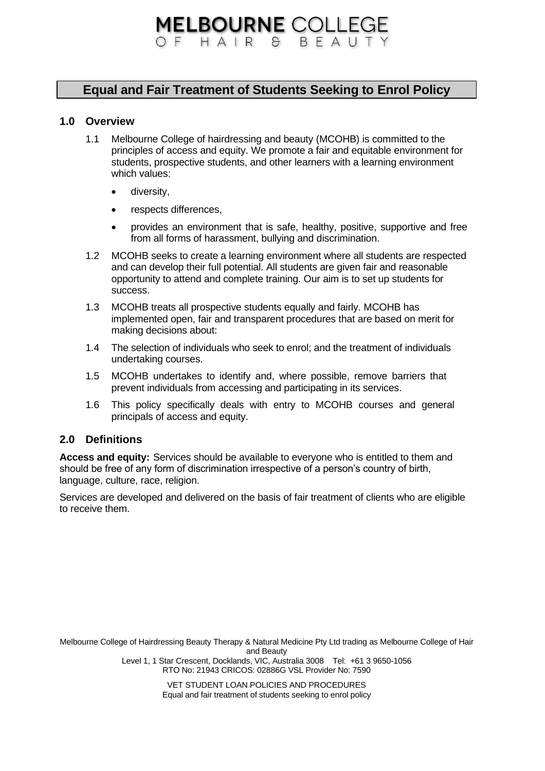# **MELBOURNE COLLEGE** OF HAIR & BEAUT

# **Equal and Fair Treatment of Students Seeking to Enrol Policy**

#### **1.0 Overview**

- 1.1 Melbourne College of hairdressing and beauty (MCOHB) is committed to the principles of access and equity. We promote a fair and equitable environment for students, prospective students, and other learners with a learning environment which values:
	- diversity,
	- respects differences,
	- provides an environment that is safe, healthy, positive, supportive and free from all forms of harassment, bullying and discrimination.
- 1.2 MCOHB seeks to create a learning environment where all students are respected and can develop their full potential. All students are given fair and reasonable opportunity to attend and complete training. Our aim is to set up students for success.
- 1.3 MCOHB treats all prospective students equally and fairly. MCOHB has implemented open, fair and transparent procedures that are based on merit for making decisions about:
- 1.4 The selection of individuals who seek to enrol; and the treatment of individuals undertaking courses.
- 1.5 MCOHB undertakes to identify and, where possible, remove barriers that prevent individuals from accessing and participating in its services.
- 1.6 This policy specifically deals with entry to MCOHB courses and general principals of access and equity.

### **2.0 Definitions**

**Access and equity:** Services should be available to everyone who is entitled to them and should be free of any form of discrimination irrespective of a person's country of birth, language, culture, race, religion.

Services are developed and delivered on the basis of fair treatment of clients who are eligible to receive them.

Melbourne College of Hairdressing Beauty Therapy & Natural Medicine Pty Ltd trading as Melbourne College of Hair and Beauty Level 1, 1 Star Crescent, Docklands, VIC, Australia 3008 Tel: +61 3 9650-1056 RTO No: 21943 CRICOS: 02886G VSL Provider No: 7590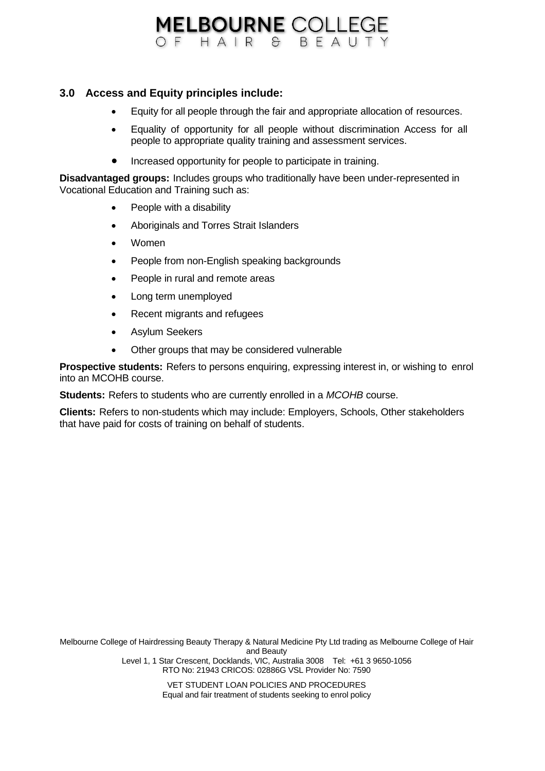# **MELBOURNE COLLEGE** OF HAIR & BEAUTY

# **3.0 Access and Equity principles include:**

- Equity for all people through the fair and appropriate allocation of resources.
- Equality of opportunity for all people without discrimination Access for all people to appropriate quality training and assessment services.
- Increased opportunity for people to participate in training.

**Disadvantaged groups:** Includes groups who traditionally have been under-represented in Vocational Education and Training such as:

- People with a disability
- Aboriginals and Torres Strait Islanders
- Women
- People from non-English speaking backgrounds
- People in rural and remote areas
- Long term unemployed
- Recent migrants and refugees
- Asylum Seekers
- Other groups that may be considered vulnerable

**Prospective students:** Refers to persons enquiring, expressing interest in, or wishing to enrol into an MCOHB course.

**Students:** Refers to students who are currently enrolled in a *MCOHB* course.

**Clients:** Refers to non-students which may include: Employers, Schools, Other stakeholders that have paid for costs of training on behalf of students.

Melbourne College of Hairdressing Beauty Therapy & Natural Medicine Pty Ltd trading as Melbourne College of Hair and Beauty Level 1, 1 Star Crescent, Docklands, VIC, Australia 3008 Tel: +61 3 9650-1056 RTO No: 21943 CRICOS: 02886G VSL Provider No: 7590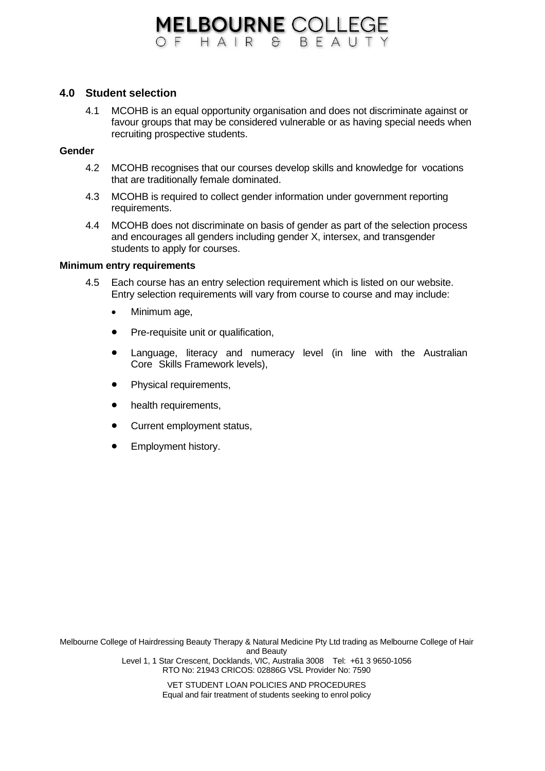# **MELBOURNE COLLEGE** OF HAIR & BEAUTY

#### **4.0 Student selection**

4.1 MCOHB is an equal opportunity organisation and does not discriminate against or favour groups that may be considered vulnerable or as having special needs when recruiting prospective students.

### **Gender**

- 4.2 MCOHB recognises that our courses develop skills and knowledge for vocations that are traditionally female dominated.
- 4.3 MCOHB is required to collect gender information under government reporting requirements.
- 4.4 MCOHB does not discriminate on basis of gender as part of the selection process and encourages all genders including gender X, intersex, and transgender students to apply for courses.

#### **Minimum entry requirements**

- 4.5 Each course has an entry selection requirement which is listed on our website. Entry selection requirements will vary from course to course and may include:
	- Minimum age,
	- Pre-requisite unit or qualification,
	- Language, literacy and numeracy level (in line with the Australian Core Skills Framework levels),
	- Physical requirements,
	- health requirements,
	- Current employment status,
	- Employment history.

Melbourne College of Hairdressing Beauty Therapy & Natural Medicine Pty Ltd trading as Melbourne College of Hair and Beauty Level 1, 1 Star Crescent, Docklands, VIC, Australia 3008 Tel: +61 3 9650-1056 RTO No: 21943 CRICOS: 02886G VSL Provider No: 7590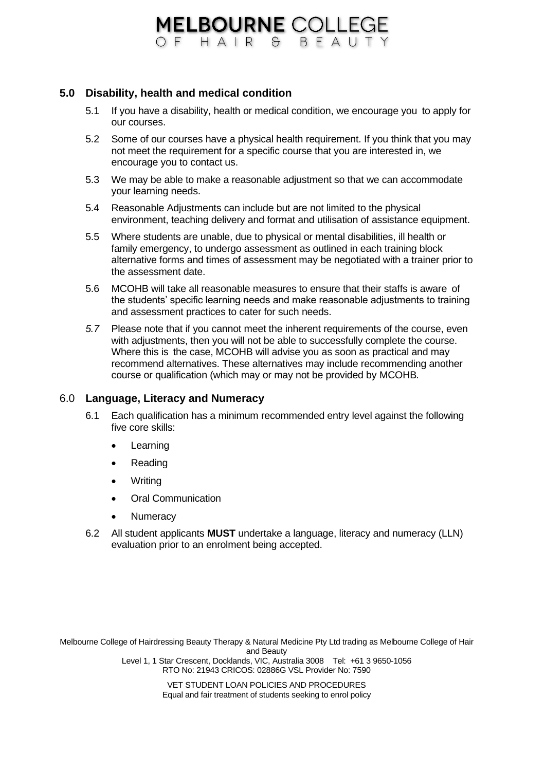# **MELBOURNE COLLEGE** OF HAIR & RFAUTY

## **5.0 Disability, health and medical condition**

- 5.1 If you have a disability, health or medical condition, we encourage you to apply for our courses.
- 5.2 Some of our courses have a physical health requirement. If you think that you may not meet the requirement for a specific course that you are interested in, we encourage you to contact us.
- 5.3 We may be able to make a reasonable adjustment so that we can accommodate your learning needs.
- 5.4 Reasonable Adjustments can include but are not limited to the physical environment, teaching delivery and format and utilisation of assistance equipment.
- 5.5 Where students are unable, due to physical or mental disabilities, ill health or family emergency, to undergo assessment as outlined in each training block alternative forms and times of assessment may be negotiated with a trainer prior to the assessment date.
- 5.6 MCOHB will take all reasonable measures to ensure that their staffs is aware of the students' specific learning needs and make reasonable adjustments to training and assessment practices to cater for such needs.
- *5.7* Please note that if you cannot meet the inherent requirements of the course, even with adjustments, then you will not be able to successfully complete the course. Where this is the case, MCOHB will advise you as soon as practical and may recommend alternatives. These alternatives may include recommending another course or qualification (which may or may not be provided by MCOHB*.*

### 6.0 **Language, Literacy and Numeracy**

- 6.1 Each qualification has a minimum recommended entry level against the following five core skills:
	- Learning
	- Reading
	- Writing
	- Oral Communication
	- **Numeracy**
- 6.2 All student applicants **MUST** undertake a language, literacy and numeracy (LLN) evaluation prior to an enrolment being accepted.

Melbourne College of Hairdressing Beauty Therapy & Natural Medicine Pty Ltd trading as Melbourne College of Hair and Beauty Level 1, 1 Star Crescent, Docklands, VIC, Australia 3008 Tel: +61 3 9650-1056 RTO No: 21943 CRICOS: 02886G VSL Provider No: 7590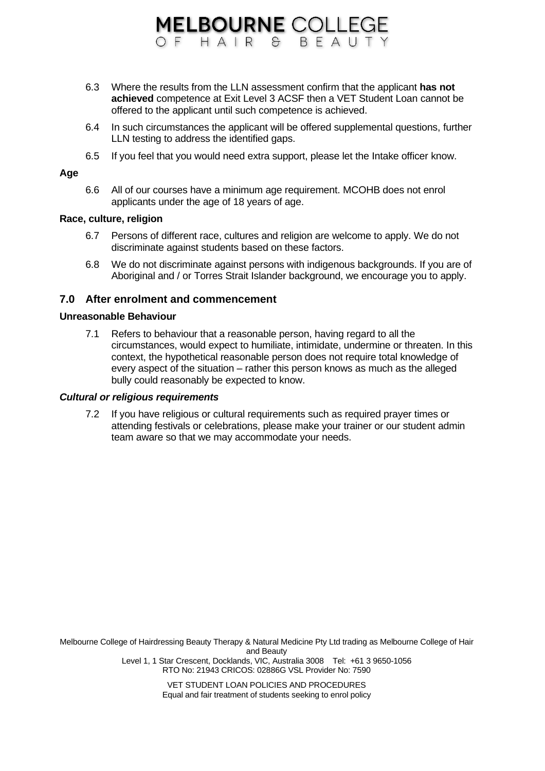6.3 Where the results from the LLN assessment confirm that the applicant **has not achieved** competence at Exit Level 3 ACSF then a VET Student Loan cannot be offered to the applicant until such competence is achieved.

**MELBOURNE COLLEGE** OF HAIR & BEAUTY

- 6.4 In such circumstances the applicant will be offered supplemental questions, further LLN testing to address the identified gaps.
- 6.5 If you feel that you would need extra support, please let the Intake officer know.

#### **Age**

6.6 All of our courses have a minimum age requirement. MCOHB does not enrol applicants under the age of 18 years of age.

## **Race, culture, religion**

- 6.7 Persons of different race, cultures and religion are welcome to apply. We do not discriminate against students based on these factors.
- 6.8 We do not discriminate against persons with indigenous backgrounds. If you are of Aboriginal and / or Torres Strait Islander background, we encourage you to apply.

## **7.0 After enrolment and commencement**

#### **Unreasonable Behaviour**

7.1 Refers to behaviour that a reasonable person, having regard to all the circumstances, would expect to humiliate, intimidate, undermine or threaten. In this context, the hypothetical reasonable person does not require total knowledge of every aspect of the situation – rather this person knows as much as the alleged bully could reasonably be expected to know.

#### *Cultural or religious requirements*

7.2 If you have religious or cultural requirements such as required prayer times or attending festivals or celebrations, please make your trainer or our student admin team aware so that we may accommodate your needs.

Melbourne College of Hairdressing Beauty Therapy & Natural Medicine Pty Ltd trading as Melbourne College of Hair and Beauty Level 1, 1 Star Crescent, Docklands, VIC, Australia 3008 Tel: +61 3 9650-1056 RTO No: 21943 CRICOS: 02886G VSL Provider No: 7590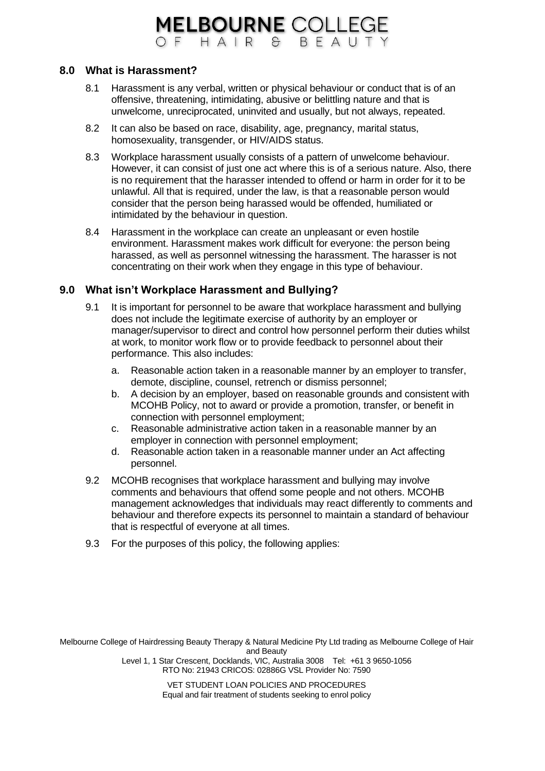# **8.0 What is Harassment?**

8.1 Harassment is any verbal, written or physical behaviour or conduct that is of an offensive, threatening, intimidating, abusive or belittling nature and that is unwelcome, unreciprocated, uninvited and usually, but not always, repeated.

**MELBOURNE COLLEGE** OF HAIR & BEAUTY

- 8.2 It can also be based on race, disability, age, pregnancy, marital status, homosexuality, transgender, or HIV/AIDS status.
- 8.3 Workplace harassment usually consists of a pattern of unwelcome behaviour. However, it can consist of just one act where this is of a serious nature. Also, there is no requirement that the harasser intended to offend or harm in order for it to be unlawful. All that is required, under the law, is that a reasonable person would consider that the person being harassed would be offended, humiliated or intimidated by the behaviour in question.
- 8.4 Harassment in the workplace can create an unpleasant or even hostile environment. Harassment makes work difficult for everyone: the person being harassed, as well as personnel witnessing the harassment. The harasser is not concentrating on their work when they engage in this type of behaviour.

# **9.0 What isn't Workplace Harassment and Bullying?**

- 9.1 It is important for personnel to be aware that workplace harassment and bullying does not include the legitimate exercise of authority by an employer or manager/supervisor to direct and control how personnel perform their duties whilst at work, to monitor work flow or to provide feedback to personnel about their performance. This also includes:
	- a. Reasonable action taken in a reasonable manner by an employer to transfer, demote, discipline, counsel, retrench or dismiss personnel;
	- b. A decision by an employer, based on reasonable grounds and consistent with MCOHB Policy, not to award or provide a promotion, transfer, or benefit in connection with personnel employment;
	- c. Reasonable administrative action taken in a reasonable manner by an employer in connection with personnel employment;
	- d. Reasonable action taken in a reasonable manner under an Act affecting personnel.
- 9.2 MCOHB recognises that workplace harassment and bullying may involve comments and behaviours that offend some people and not others. MCOHB management acknowledges that individuals may react differently to comments and behaviour and therefore expects its personnel to maintain a standard of behaviour that is respectful of everyone at all times.
- 9.3 For the purposes of this policy, the following applies:

Melbourne College of Hairdressing Beauty Therapy & Natural Medicine Pty Ltd trading as Melbourne College of Hair and Beauty Level 1, 1 Star Crescent, Docklands, VIC, Australia 3008 Tel: +61 3 9650-1056

RTO No: 21943 CRICOS: 02886G VSL Provider No: 7590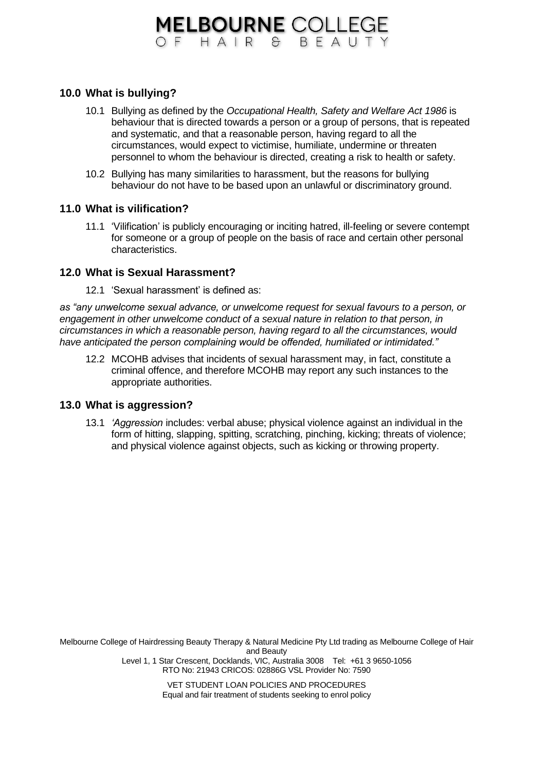# **MELBOURNE COLLEGE** OF HAIR & BFAUTY

# **10.0 What is bullying?**

- 10.1 Bullying as defined by the *Occupational Health, Safety and Welfare Act 1986* is behaviour that is directed towards a person or a group of persons, that is repeated and systematic, and that a reasonable person, having regard to all the circumstances, would expect to victimise, humiliate, undermine or threaten personnel to whom the behaviour is directed, creating a risk to health or safety.
- 10.2 Bullying has many similarities to harassment, but the reasons for bullying behaviour do not have to be based upon an unlawful or discriminatory ground.

### **11.0 What is vilification?**

11.1 'Vilification' is publicly encouraging or inciting hatred, ill-feeling or severe contempt for someone or a group of people on the basis of race and certain other personal characteristics.

#### **12.0 What is Sexual Harassment?**

12.1 'Sexual harassment' is defined as:

*as "any unwelcome sexual advance, or unwelcome request for sexual favours to a person, or engagement in other unwelcome conduct of a sexual nature in relation to that person, in circumstances in which a reasonable person, having regard to all the circumstances, would have anticipated the person complaining would be offended, humiliated or intimidated."*

12.2 MCOHB advises that incidents of sexual harassment may, in fact, constitute a criminal offence, and therefore MCOHB may report any such instances to the appropriate authorities.

### **13.0 What is aggression?**

13.1 *'Aggression* includes: verbal abuse; physical violence against an individual in the form of hitting, slapping, spitting, scratching, pinching, kicking; threats of violence; and physical violence against objects, such as kicking or throwing property.

Melbourne College of Hairdressing Beauty Therapy & Natural Medicine Pty Ltd trading as Melbourne College of Hair and Beauty Level 1, 1 Star Crescent, Docklands, VIC, Australia 3008 Tel: +61 3 9650-1056 RTO No: 21943 CRICOS: 02886G VSL Provider No: 7590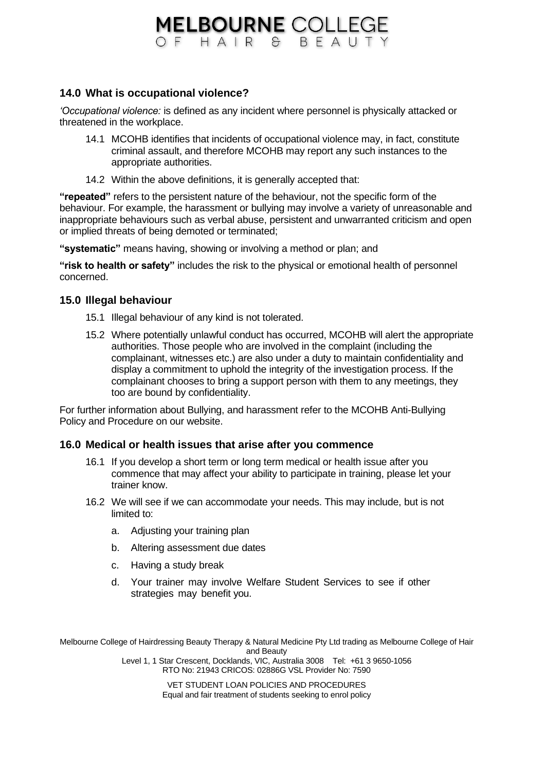# **MELBOURNE COLLEGE** OF HAIR & BEAUTY

# **14.0 What is occupational violence?**

*'Occupational violence:* is defined as any incident where personnel is physically attacked or threatened in the workplace.

- 14.1 MCOHB identifies that incidents of occupational violence may, in fact, constitute criminal assault, and therefore MCOHB may report any such instances to the appropriate authorities.
- 14.2 Within the above definitions, it is generally accepted that:

**"repeated"** refers to the persistent nature of the behaviour, not the specific form of the behaviour. For example, the harassment or bullying may involve a variety of unreasonable and inappropriate behaviours such as verbal abuse, persistent and unwarranted criticism and open or implied threats of being demoted or terminated;

**"systematic"** means having, showing or involving a method or plan; and

**"risk to health or safety"** includes the risk to the physical or emotional health of personnel concerned.

## **15.0 Illegal behaviour**

- 15.1 Illegal behaviour of any kind is not tolerated.
- 15.2 Where potentially unlawful conduct has occurred, MCOHB will alert the appropriate authorities. Those people who are involved in the complaint (including the complainant, witnesses etc.) are also under a duty to maintain confidentiality and display a commitment to uphold the integrity of the investigation process. If the complainant chooses to bring a support person with them to any meetings, they too are bound by confidentiality.

For further information about Bullying, and harassment refer to the MCOHB Anti-Bullying Policy and Procedure on our website.

### **16.0 Medical or health issues that arise after you commence**

- 16.1 If you develop a short term or long term medical or health issue after you commence that may affect your ability to participate in training, please let your trainer know.
- 16.2 We will see if we can accommodate your needs. This may include, but is not limited to:
	- a. Adjusting your training plan
	- b. Altering assessment due dates
	- c. Having a study break
	- d. Your trainer may involve Welfare Student Services to see if other strategies may benefit you.

Melbourne College of Hairdressing Beauty Therapy & Natural Medicine Pty Ltd trading as Melbourne College of Hair and Beauty Level 1, 1 Star Crescent, Docklands, VIC, Australia 3008 Tel: +61 3 9650-1056 RTO No: 21943 CRICOS: 02886G VSL Provider No: 7590